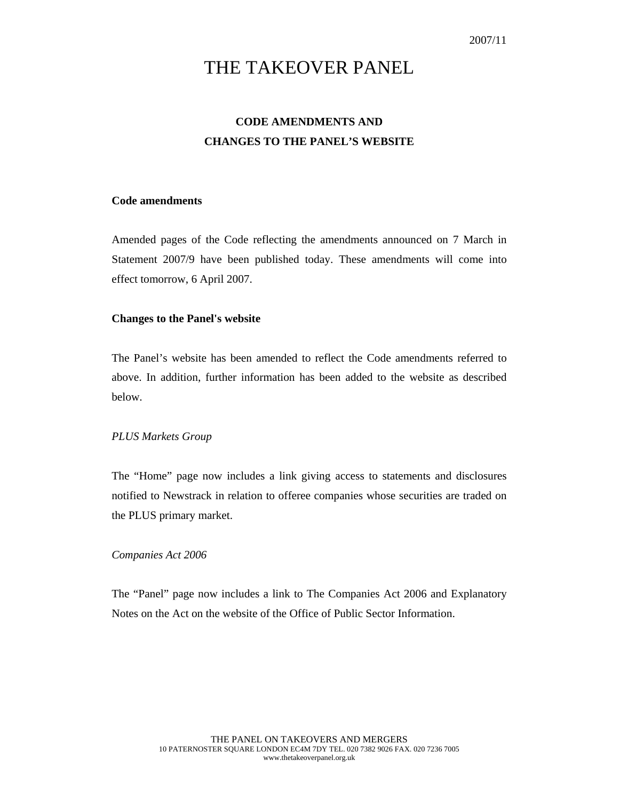# THE TAKEOVER PANEL

## **CODE AMENDMENTS AND CHANGES TO THE PANEL'S WEBSITE**

### **Code amendments**

Amended pages of the Code reflecting the amendments announced on 7 March in Statement 2007/9 have been published today. These amendments will come into effect tomorrow, 6 April 2007.

#### **Changes to the Panel's website**

The Panel's website has been amended to reflect the Code amendments referred to above. In addition, further information has been added to the website as described below.

#### *PLUS Markets Group*

The "Home" page now includes a link giving access to statements and disclosures notified to Newstrack in relation to offeree companies whose securities are traded on the PLUS primary market.

#### *Companies Act 2006*

The "Panel" page now includes a link to The Companies Act 2006 and Explanatory Notes on the Act on the website of the Office of Public Sector Information.